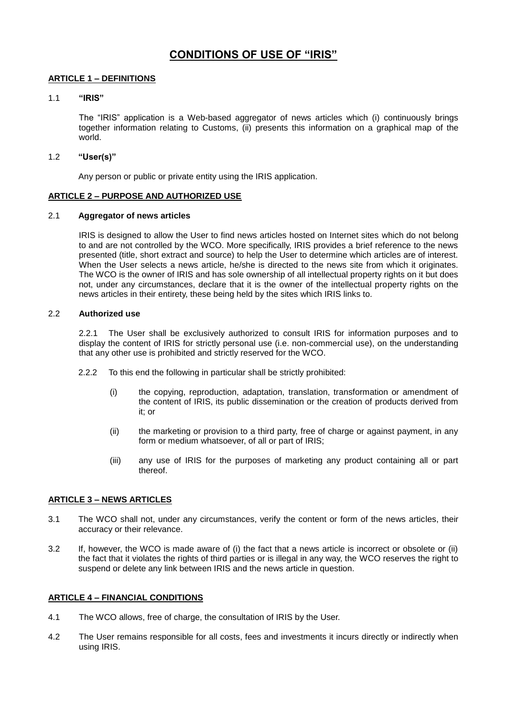# **CONDITIONS OF USE OF "IRIS"**

# **ARTICLE 1 – DEFINITIONS**

# 1.1 **"IRIS"**

The "IRIS" application is a Web-based aggregator of news articles which (i) continuously brings together information relating to Customs, (ii) presents this information on a graphical map of the world.

## 1.2 **"User(s)"**

Any person or public or private entity using the IRIS application.

## **ARTICLE 2 – PURPOSE AND AUTHORIZED USE**

## 2.1 **Aggregator of news articles**

IRIS is designed to allow the User to find news articles hosted on Internet sites which do not belong to and are not controlled by the WCO. More specifically, IRIS provides a brief reference to the news presented (title, short extract and source) to help the User to determine which articles are of interest. When the User selects a news article, he/she is directed to the news site from which it originates. The WCO is the owner of IRIS and has sole ownership of all intellectual property rights on it but does not, under any circumstances, declare that it is the owner of the intellectual property rights on the news articles in their entirety, these being held by the sites which IRIS links to.

## 2.2 **Authorized use**

2.2.1 The User shall be exclusively authorized to consult IRIS for information purposes and to display the content of IRIS for strictly personal use (i.e. non-commercial use), on the understanding that any other use is prohibited and strictly reserved for the WCO.

- 2.2.2 To this end the following in particular shall be strictly prohibited:
	- (i) the copying, reproduction, adaptation, translation, transformation or amendment of the content of IRIS, its public dissemination or the creation of products derived from it; or
	- (ii) the marketing or provision to a third party, free of charge or against payment, in any form or medium whatsoever, of all or part of IRIS;
	- (iii) any use of IRIS for the purposes of marketing any product containing all or part thereof.

# **ARTICLE 3 – NEWS ARTICLES**

- 3.1 The WCO shall not, under any circumstances, verify the content or form of the news articles, their accuracy or their relevance.
- 3.2 If, however, the WCO is made aware of (i) the fact that a news article is incorrect or obsolete or (ii) the fact that it violates the rights of third parties or is illegal in any way, the WCO reserves the right to suspend or delete any link between IRIS and the news article in question.

# **ARTICLE 4 – FINANCIAL CONDITIONS**

- 4.1 The WCO allows, free of charge, the consultation of IRIS by the User.
- 4.2 The User remains responsible for all costs, fees and investments it incurs directly or indirectly when using IRIS.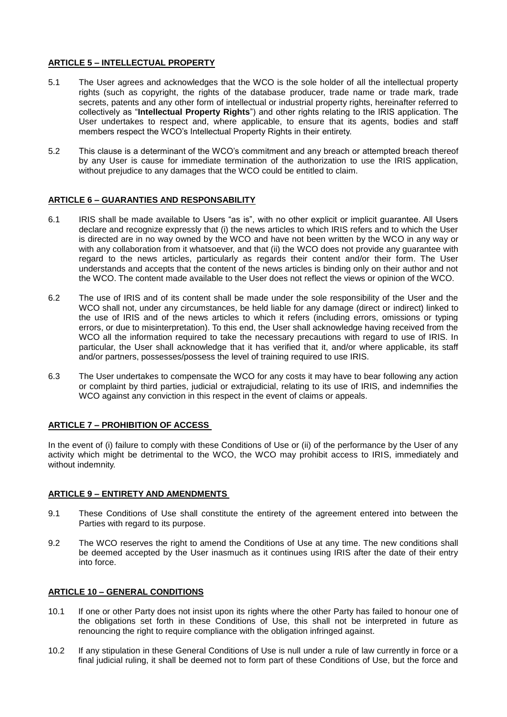# **ARTICLE 5 – INTELLECTUAL PROPERTY**

- 5.1 The User agrees and acknowledges that the WCO is the sole holder of all the intellectual property rights (such as copyright, the rights of the database producer, trade name or trade mark, trade secrets, patents and any other form of intellectual or industrial property rights, hereinafter referred to collectively as "**Intellectual Property Rights**") and other rights relating to the IRIS application. The User undertakes to respect and, where applicable, to ensure that its agents, bodies and staff members respect the WCO's Intellectual Property Rights in their entirety.
- 5.2 This clause is a determinant of the WCO's commitment and any breach or attempted breach thereof by any User is cause for immediate termination of the authorization to use the IRIS application, without prejudice to any damages that the WCO could be entitled to claim.

# **ARTICLE 6 – GUARANTIES AND RESPONSABILITY**

- 6.1 IRIS shall be made available to Users "as is", with no other explicit or implicit guarantee. All Users declare and recognize expressly that (i) the news articles to which IRIS refers and to which the User is directed are in no way owned by the WCO and have not been written by the WCO in any way or with any collaboration from it whatsoever, and that (ii) the WCO does not provide any guarantee with regard to the news articles, particularly as regards their content and/or their form. The User understands and accepts that the content of the news articles is binding only on their author and not the WCO. The content made available to the User does not reflect the views or opinion of the WCO.
- 6.2 The use of IRIS and of its content shall be made under the sole responsibility of the User and the WCO shall not, under any circumstances, be held liable for any damage (direct or indirect) linked to the use of IRIS and of the news articles to which it refers (including errors, omissions or typing errors, or due to misinterpretation). To this end, the User shall acknowledge having received from the WCO all the information required to take the necessary precautions with regard to use of IRIS. In particular, the User shall acknowledge that it has verified that it, and/or where applicable, its staff and/or partners, possesses/possess the level of training required to use IRIS.
- 6.3 The User undertakes to compensate the WCO for any costs it may have to bear following any action or complaint by third parties, judicial or extrajudicial, relating to its use of IRIS, and indemnifies the WCO against any conviction in this respect in the event of claims or appeals.

# **ARTICLE 7 – PROHIBITION OF ACCESS**

In the event of (i) failure to comply with these Conditions of Use or (ii) of the performance by the User of any activity which might be detrimental to the WCO, the WCO may prohibit access to IRIS, immediately and without indemnity.

#### **ARTICLE 9 – ENTIRETY AND AMENDMENTS**

- 9.1 These Conditions of Use shall constitute the entirety of the agreement entered into between the Parties with regard to its purpose.
- 9.2 The WCO reserves the right to amend the Conditions of Use at any time. The new conditions shall be deemed accepted by the User inasmuch as it continues using IRIS after the date of their entry into force.

## **ARTICLE 10 – GENERAL CONDITIONS**

- 10.1 If one or other Party does not insist upon its rights where the other Party has failed to honour one of the obligations set forth in these Conditions of Use, this shall not be interpreted in future as renouncing the right to require compliance with the obligation infringed against.
- 10.2 If any stipulation in these General Conditions of Use is null under a rule of law currently in force or a final judicial ruling, it shall be deemed not to form part of these Conditions of Use, but the force and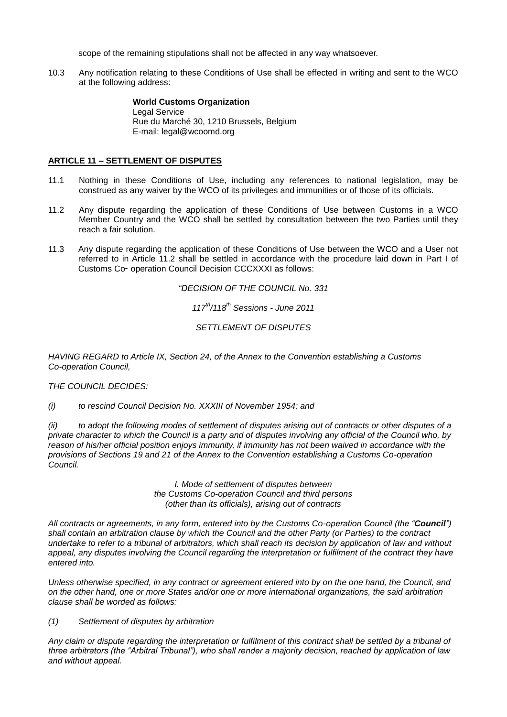scope of the remaining stipulations shall not be affected in any way whatsoever.

10.3 Any notification relating to these Conditions of Use shall be effected in writing and sent to the WCO at the following address:

> **World Customs Organization** Legal Service Rue du Marché 30, 1210 Brussels, Belgium E-mail: legal@wcoomd.org

# **ARTICLE 11 – SETTLEMENT OF DISPUTES**

- 11.1 Nothing in these Conditions of Use, including any references to national legislation, may be construed as any waiver by the WCO of its privileges and immunities or of those of its officials.
- 11.2 Any dispute regarding the application of these Conditions of Use between Customs in a WCO Member Country and the WCO shall be settled by consultation between the two Parties until they reach a fair solution.
- 11.3 Any dispute regarding the application of these Conditions of Use between the WCO and a User not referred to in Article 11.2 shall be settled in accordance with the procedure laid down in Part I of Customs Co‑ operation Council Decision CCCXXXI as follows:

*"DECISION OF THE COUNCIL No. 331*

*117th/118th Sessions - June 2011*

*SETTLEMENT OF DISPUTES*

*HAVING REGARD to Article IX, Section 24, of the Annex to the Convention establishing a Customs Co-operation Council,*

#### *THE COUNCIL DECIDES:*

*(i) to rescind Council Decision No. XXXIII of November 1954; and*

*(ii) to adopt the following modes of settlement of disputes arising out of contracts or other disputes of a private character to which the Council is a party and of disputes involving any official of the Council who, by reason of his/her official position enjoys immunity, if immunity has not been waived in accordance with the provisions of Sections 19 and 21 of the Annex to the Convention establishing a Customs Co-operation Council.*

> *I. Mode of settlement of disputes between the Customs Co-operation Council and third persons (other than its officials), arising out of contracts*

*All contracts or agreements, in any form, entered into by the Customs Co-operation Council (the "Council") shall contain an arbitration clause by which the Council and the other Party (or Parties) to the contract undertake to refer to a tribunal of arbitrators, which shall reach its decision by application of law and without appeal, any disputes involving the Council regarding the interpretation or fulfilment of the contract they have entered into.*

*Unless otherwise specified, in any contract or agreement entered into by on the one hand, the Council, and on the other hand, one or more States and/or one or more international organizations, the said arbitration clause shall be worded as follows:*

*(1) Settlement of disputes by arbitration*

*Any claim or dispute regarding the interpretation or fulfilment of this contract shall be settled by a tribunal of three arbitrators (the "Arbitral Tribunal"), who shall render a majority decision, reached by application of law and without appeal.*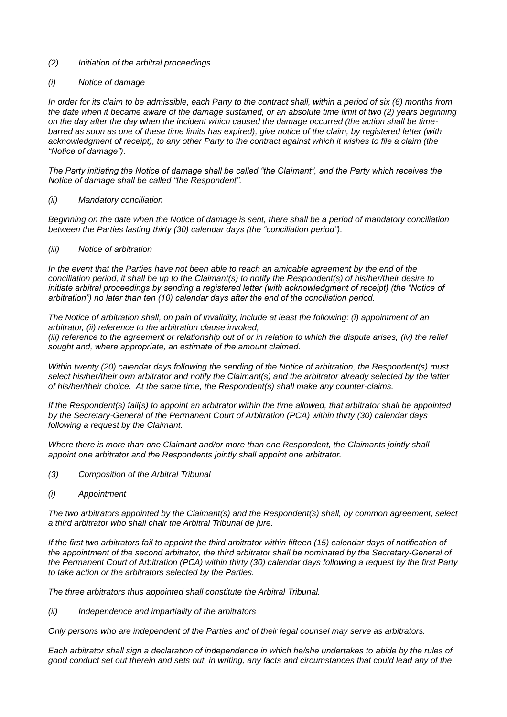## *(2) Initiation of the arbitral proceedings*

## *(i) Notice of damage*

*In order for its claim to be admissible, each Party to the contract shall, within a period of six (6) months from the date when it became aware of the damage sustained, or an absolute time limit of two (2) years beginning on the day after the day when the incident which caused the damage occurred (the action shall be timebarred as soon as one of these time limits has expired), give notice of the claim, by registered letter (with acknowledgment of receipt), to any other Party to the contract against which it wishes to file a claim (the "Notice of damage").*

*The Party initiating the Notice of damage shall be called "the Claimant", and the Party which receives the Notice of damage shall be called "the Respondent".*

#### *(ii) Mandatory conciliation*

*Beginning on the date when the Notice of damage is sent, there shall be a period of mandatory conciliation between the Parties lasting thirty (30) calendar days (the "conciliation period").*

#### *(iii) Notice of arbitration*

*In the event that the Parties have not been able to reach an amicable agreement by the end of the conciliation period, it shall be up to the Claimant(s) to notify the Respondent(s) of his/her/their desire to initiate arbitral proceedings by sending a registered letter (with acknowledgment of receipt) (the "Notice of arbitration") no later than ten (10) calendar days after the end of the conciliation period.*

*The Notice of arbitration shall, on pain of invalidity, include at least the following: (i) appointment of an arbitrator, (ii) reference to the arbitration clause invoked,*

*(iii) reference to the agreement or relationship out of or in relation to which the dispute arises, (iv) the relief sought and, where appropriate, an estimate of the amount claimed.*

*Within twenty (20) calendar days following the sending of the Notice of arbitration, the Respondent(s) must select his/her/their own arbitrator and notify the Claimant(s) and the arbitrator already selected by the latter of his/her/their choice. At the same time, the Respondent(s) shall make any counter-claims.*

*If the Respondent(s) fail(s) to appoint an arbitrator within the time allowed, that arbitrator shall be appointed by the Secretary-General of the Permanent Court of Arbitration (PCA) within thirty (30) calendar days following a request by the Claimant.*

*Where there is more than one Claimant and/or more than one Respondent, the Claimants jointly shall appoint one arbitrator and the Respondents jointly shall appoint one arbitrator.*

- *(3) Composition of the Arbitral Tribunal*
- *(i) Appointment*

*The two arbitrators appointed by the Claimant(s) and the Respondent(s) shall, by common agreement, select a third arbitrator who shall chair the Arbitral Tribunal de jure.*

*If the first two arbitrators fail to appoint the third arbitrator within fifteen (15) calendar days of notification of* the appointment of the second arbitrator, the third arbitrator shall be nominated by the Secretary-General of *the Permanent Court of Arbitration (PCA) within thirty (30) calendar days following a request by the first Party to take action or the arbitrators selected by the Parties.*

*The three arbitrators thus appointed shall constitute the Arbitral Tribunal.*

*(ii) Independence and impartiality of the arbitrators*

*Only persons who are independent of the Parties and of their legal counsel may serve as arbitrators.*

*Each arbitrator shall sign a declaration of independence in which he/she undertakes to abide by the rules of good conduct set out therein and sets out, in writing, any facts and circumstances that could lead any of the*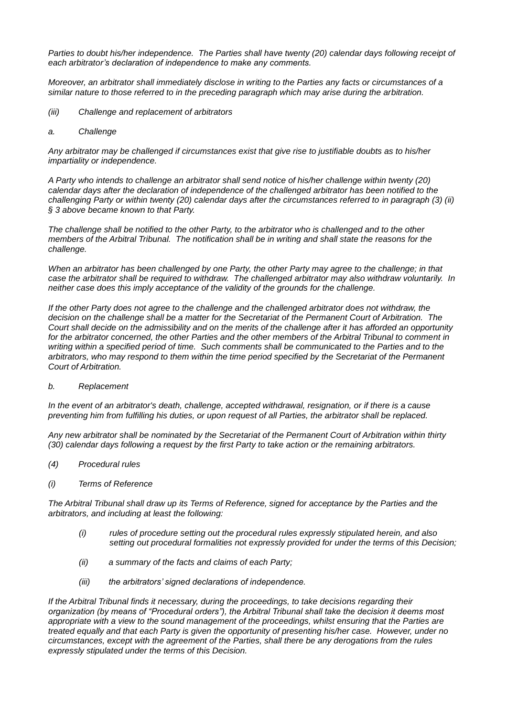*Parties to doubt his/her independence. The Parties shall have twenty (20) calendar days following receipt of each arbitrator's declaration of independence to make any comments.*

*Moreover, an arbitrator shall immediately disclose in writing to the Parties any facts or circumstances of a similar nature to those referred to in the preceding paragraph which may arise during the arbitration.*

- *(iii) Challenge and replacement of arbitrators*
- *a. Challenge*

*Any arbitrator may be challenged if circumstances exist that give rise to justifiable doubts as to his/her impartiality or independence.*

*A Party who intends to challenge an arbitrator shall send notice of his/her challenge within twenty (20) calendar days after the declaration of independence of the challenged arbitrator has been notified to the challenging Party or within twenty (20) calendar days after the circumstances referred to in paragraph (3) (ii) § 3 above became known to that Party.*

*The challenge shall be notified to the other Party, to the arbitrator who is challenged and to the other members of the Arbitral Tribunal. The notification shall be in writing and shall state the reasons for the challenge.*

*When an arbitrator has been challenged by one Party, the other Party may agree to the challenge; in that case the arbitrator shall be required to withdraw. The challenged arbitrator may also withdraw voluntarily. In neither case does this imply acceptance of the validity of the grounds for the challenge.*

*If the other Party does not agree to the challenge and the challenged arbitrator does not withdraw, the decision on the challenge shall be a matter for the Secretariat of the Permanent Court of Arbitration. The Court shall decide on the admissibility and on the merits of the challenge after it has afforded an opportunity for the arbitrator concerned, the other Parties and the other members of the Arbitral Tribunal to comment in*  writing within a specified period of time. Such comments shall be communicated to the Parties and to the *arbitrators, who may respond to them within the time period specified by the Secretariat of the Permanent Court of Arbitration.*

*b. Replacement*

*In the event of an arbitrator's death, challenge, accepted withdrawal, resignation, or if there is a cause preventing him from fulfilling his duties, or upon request of all Parties, the arbitrator shall be replaced.*

*Any new arbitrator shall be nominated by the Secretariat of the Permanent Court of Arbitration within thirty (30) calendar days following a request by the first Party to take action or the remaining arbitrators.*

- *(4) Procedural rules*
- *(i) Terms of Reference*

*The Arbitral Tribunal shall draw up its Terms of Reference, signed for acceptance by the Parties and the arbitrators, and including at least the following:*

- *(i) rules of procedure setting out the procedural rules expressly stipulated herein, and also setting out procedural formalities not expressly provided for under the terms of this Decision;*
- *(ii) a summary of the facts and claims of each Party;*
- *(iii) the arbitrators' signed declarations of independence.*

*If the Arbitral Tribunal finds it necessary, during the proceedings, to take decisions regarding their organization (by means of "Procedural orders"), the Arbitral Tribunal shall take the decision it deems most appropriate with a view to the sound management of the proceedings, whilst ensuring that the Parties are treated equally and that each Party is given the opportunity of presenting his/her case. However, under no circumstances, except with the agreement of the Parties, shall there be any derogations from the rules expressly stipulated under the terms of this Decision.*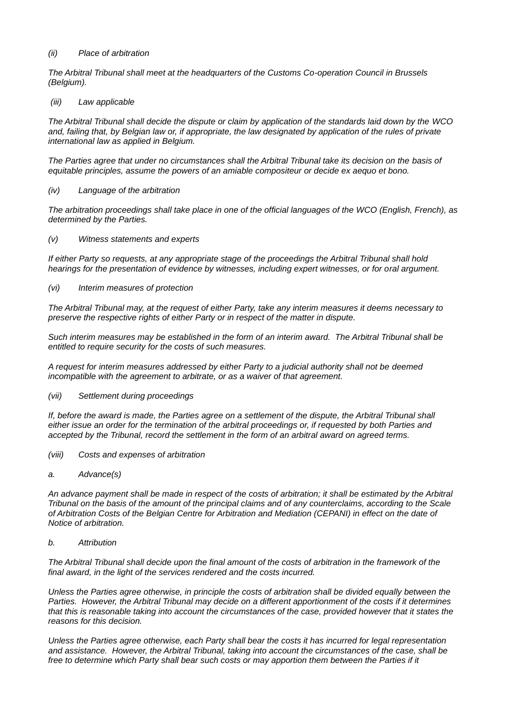# *(ii) Place of arbitration*

*The Arbitral Tribunal shall meet at the headquarters of the Customs Co-operation Council in Brussels (Belgium).*

## *(iii) Law applicable*

*The Arbitral Tribunal shall decide the dispute or claim by application of the standards laid down by the WCO and, failing that, by Belgian law or, if appropriate, the law designated by application of the rules of private international law as applied in Belgium.*

*The Parties agree that under no circumstances shall the Arbitral Tribunal take its decision on the basis of equitable principles, assume the powers of an amiable compositeur or decide ex aequo et bono.*

*(iv) Language of the arbitration*

*The arbitration proceedings shall take place in one of the official languages of the WCO (English, French), as determined by the Parties.*

*(v) Witness statements and experts*

*If either Party so requests, at any appropriate stage of the proceedings the Arbitral Tribunal shall hold hearings for the presentation of evidence by witnesses, including expert witnesses, or for oral argument.*

*(vi) Interim measures of protection*

*The Arbitral Tribunal may, at the request of either Party, take any interim measures it deems necessary to preserve the respective rights of either Party or in respect of the matter in dispute.*

*Such interim measures may be established in the form of an interim award. The Arbitral Tribunal shall be entitled to require security for the costs of such measures.*

*A request for interim measures addressed by either Party to a judicial authority shall not be deemed incompatible with the agreement to arbitrate, or as a waiver of that agreement.*

*(vii) Settlement during proceedings*

*If, before the award is made, the Parties agree on a settlement of the dispute, the Arbitral Tribunal shall either issue an order for the termination of the arbitral proceedings or, if requested by both Parties and accepted by the Tribunal, record the settlement in the form of an arbitral award on agreed terms.*

- *(viii) Costs and expenses of arbitration*
- *a. Advance(s)*

*An advance payment shall be made in respect of the costs of arbitration; it shall be estimated by the Arbitral Tribunal on the basis of the amount of the principal claims and of any counterclaims, according to the Scale of Arbitration Costs of the Belgian Centre for Arbitration and Mediation (CEPANI) in effect on the date of Notice of arbitration.*

*b. Attribution*

*The Arbitral Tribunal shall decide upon the final amount of the costs of arbitration in the framework of the final award, in the light of the services rendered and the costs incurred.*

*Unless the Parties agree otherwise, in principle the costs of arbitration shall be divided equally between the Parties. However, the Arbitral Tribunal may decide on a different apportionment of the costs if it determines that this is reasonable taking into account the circumstances of the case, provided however that it states the reasons for this decision.*

*Unless the Parties agree otherwise, each Party shall bear the costs it has incurred for legal representation and assistance. However, the Arbitral Tribunal, taking into account the circumstances of the case, shall be free to determine which Party shall bear such costs or may apportion them between the Parties if it*